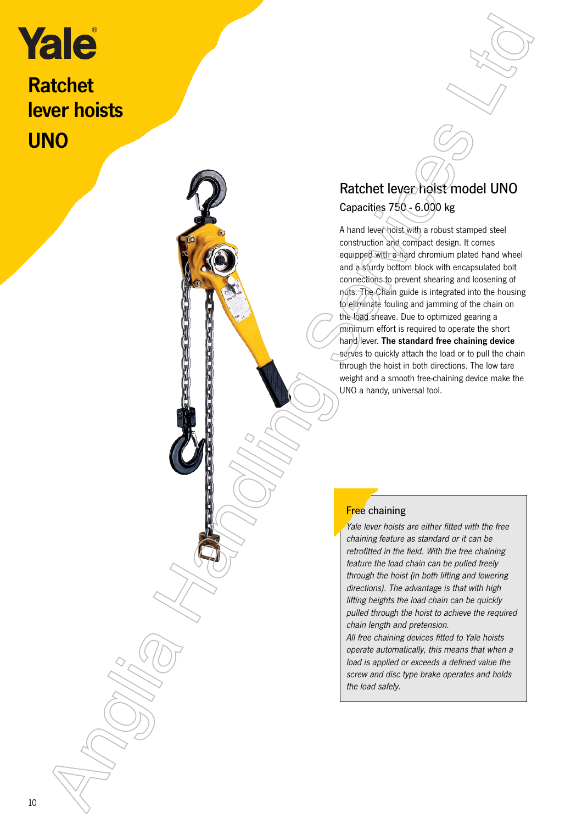## Ratchet

lever hoists **UNO** 



A hand lever hoist with a robust stamped steel construction and compact design. It comes equipped with a hard chromium plated hand wheel and a sturdy bottom block with encapsulated bolt connections to prevent shearing and loosening of nuts. The Chain guide is integrated into the housing to eliminate fouling and jamming of the chain on the load sheave. Due to optimized gearing a minimum effort is required to operate the short hand lever. The standard free chaining device serves to quickly attach the load or to pull the chain through the hoist in both directions. The low tare weight and a smooth free-chaining device make the UNO a handy, universal tool. Explicit the control of the control of the control of the control of the control of the control of the control of the control of the control of the control of the control of the control of the control of the control of the

## **Free** chaining

Yale lever hoists are either fitted with the free chaining feature as standard or it can be retrofitted in the field. With the free chaining feature the load chain can be pulled freely through the hoist (in both lifting and lowering directions). The advantage is that with high lifting heights the load chain can be quickly pulled through the hoist to achieve the required chain length and pretension.

All free chaining devices fitted to Yale hoists operate automatically, this means that when a load is applied or exceeds a defined value the screw and disc type brake operates and holds the load safely.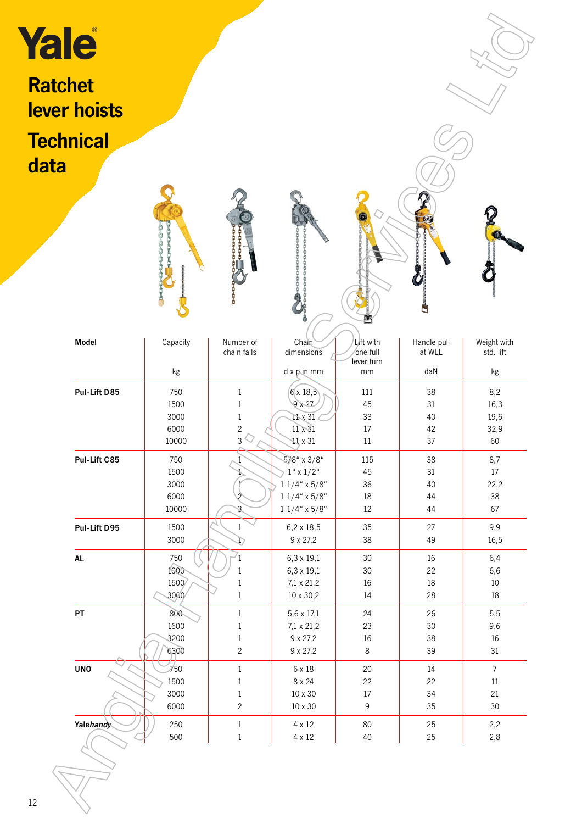| Yale<br><b>Ratchet</b> |                     |                                |                                       |                       |                       |                          |
|------------------------|---------------------|--------------------------------|---------------------------------------|-----------------------|-----------------------|--------------------------|
| lever hoists           |                     |                                |                                       |                       |                       |                          |
|                        |                     |                                |                                       |                       |                       |                          |
| <b>Technical</b>       |                     |                                |                                       |                       |                       |                          |
| data                   |                     |                                |                                       |                       |                       |                          |
|                        |                     |                                |                                       |                       |                       |                          |
|                        |                     |                                |                                       |                       |                       |                          |
|                        |                     |                                |                                       |                       |                       |                          |
|                        | <b>FOR THE PART</b> |                                |                                       |                       |                       |                          |
|                        |                     |                                |                                       |                       |                       |                          |
|                        |                     |                                |                                       |                       |                       |                          |
|                        |                     |                                |                                       |                       |                       |                          |
|                        |                     |                                |                                       |                       |                       |                          |
|                        |                     |                                |                                       |                       |                       |                          |
| <b>Model</b>           | Capacity            | Number of<br>chain falls       | Chain<br>dimensions                   | Lift with<br>one full | Handle pull<br>at WLL | Weight with<br>std. lift |
|                        |                     |                                |                                       | lever turn            |                       |                          |
|                        | kg                  |                                | d x p.in mm                           | mm                    | daN                   | kg                       |
| Pul-Lift D85           | 750<br>1500         | $\mathbf{1}$<br>$\,1$          | 6x18,5<br>9x27                        | 111<br>45             | 38<br>$31\,$          | 8,2<br>16,3              |
|                        | 3000                | $\mathbf{1}$                   | 11 x 31                               | 33                    | 40                    | 19,6                     |
|                        | 6000                | $\overline{c}$                 | $11 \times 31$                        | 17                    | 42                    | 32,9                     |
|                        | 10000               | $3^{\frac{1}{2}}$              | $41 \times 31$                        | $11\,$                | 37                    | 60                       |
| Pul-Lift C85           | 750                 |                                | $5/8$ " x $3/8$ "                     | 115                   | 38                    | 8,7                      |
|                        | 1500<br>3000        |                                | $1'' \times 1/2''$<br>$11/4$ " x 5/8" | $45\,$<br>36          | 31<br>40              | $17\,$<br>22,2           |
|                        | 6000                |                                | $11/4$ " x 5/8"                       | 18                    | $44\,$                | 38                       |
|                        | 10000               | ३                              | $11/4$ " x $5/8$ "                    | $12\,$                | 44                    | 67                       |
| Pul-Lift D95           | 1500                | $\mathbf{1}$                   | $6,2 \times 18,5$                     | 35                    | 27                    | 9,9                      |
|                        | 3000                | D                              | 9 x 27,2                              | 38                    | 49                    | 16,5                     |
| <b>AL</b>              | 750                 | $\overline{1}$                 | $6,3 \times 19,1$                     | $30\,$                | 16                    | 6,4                      |
|                        | 1000                | $\mathbf{1}$                   | $6,3 \times 19,1$                     | $30\,$                | 22                    | 6,6                      |
|                        | 1500<br>3000/       | $1\,$<br>$\,1$                 | $7,1 \times 21,2$<br>10 x 30,2        | $16\,$<br>$14\,$      | $18\,$<br>28          | $10\,$<br>$18\,$         |
| ${\sf PT}$             | 800                 | $\mathbf{1}$                   | 5,6 x 17,1                            | 24                    | 26                    | 5,5                      |
|                        | 1600                | $\mathbf{1}$                   | $7,1 \times 21,2$                     | 23                    | $30\,$                | 9,6                      |
|                        | 3200                | $\,1$                          | 9 x 27,2                              | $16\,$                | 38                    | $16\,$                   |
|                        | 6300                | $\overline{c}$                 | 9 x 27,2                              | $8\,$                 | 39                    | $31\,$                   |
| <b>UNO</b>             | $\frac{1}{150}$     | $\,1$                          | $6\times18$                           | $20\,$                | 14                    | $\overline{7}$           |
|                        | 1500                | $\,1$                          | $8 \times 24$                         | 22                    | 22                    | $11\,$                   |
|                        | 3000<br>6000        | $\mathbf{1}$<br>$\overline{c}$ | $10\times30$<br>$10 \times 30$        | $17\,$<br>9           | 34<br>35              | 21<br>30                 |
|                        |                     |                                |                                       |                       |                       |                          |
|                        | 250                 | $\mathbf{1}$<br>$\,1$          | $4 \times 12$<br>$4\times12$          | $80\,$<br>$40\,$      | 25<br>25              | 2,2<br>2,8               |
| Yalehandy              |                     |                                |                                       |                       |                       |                          |
|                        | 500                 |                                |                                       |                       |                       |                          |